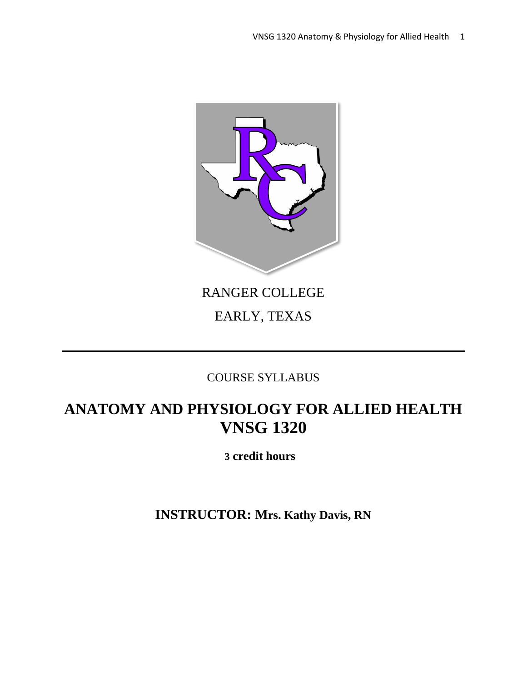

# RANGER COLLEGE

# EARLY, TEXAS

# COURSE SYLLABUS

# **ANATOMY AND PHYSIOLOGY FOR ALLIED HEALTH VNSG 1320**

 **3 credit hours**

**INSTRUCTOR: Mrs. Kathy Davis, RN**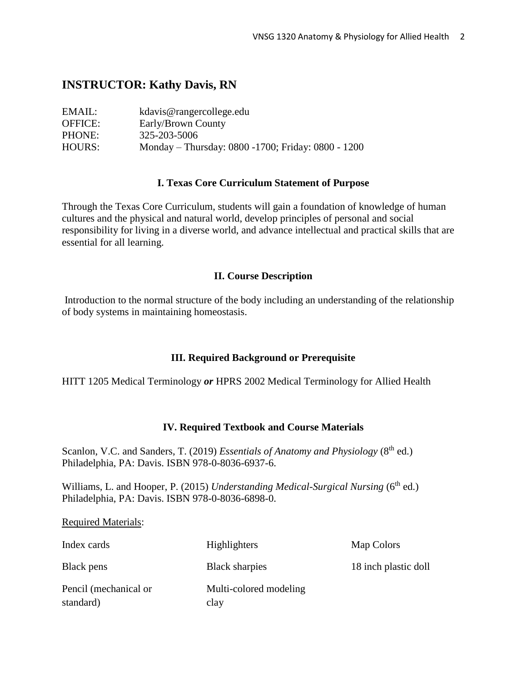# **INSTRUCTOR: Kathy Davis, RN**

| EMAIL:         | kdavis@rangercollege.edu                           |
|----------------|----------------------------------------------------|
| <b>OFFICE:</b> | Early/Brown County                                 |
| PHONE:         | 325-203-5006                                       |
| HOURS:         | Monday – Thursday: 0800 -1700; Friday: 0800 - 1200 |

#### **I. Texas Core Curriculum Statement of Purpose**

Through the Texas Core Curriculum, students will gain a foundation of knowledge of human cultures and the physical and natural world, develop principles of personal and social responsibility for living in a diverse world, and advance intellectual and practical skills that are essential for all learning.

#### **II. Course Description**

Introduction to the normal structure of the body including an understanding of the relationship of body systems in maintaining homeostasis.

### **III. Required Background or Prerequisite**

HITT 1205 Medical Terminology *or* HPRS 2002 Medical Terminology for Allied Health

### **IV. Required Textbook and Course Materials**

Scanlon, V.C. and Sanders, T. (2019) *Essentials of Anatomy and Physiology* (8<sup>th</sup> ed.) Philadelphia, PA: Davis. ISBN 978-0-8036-6937-6.

Williams, L. and Hooper, P. (2015) *Understanding Medical-Surgical Nursing* (6<sup>th</sup> ed.) Philadelphia, PA: Davis. ISBN 978-0-8036-6898-0.

#### Required Materials:

| Index cards                        | Highlighters                   | Map Colors           |
|------------------------------------|--------------------------------|----------------------|
| Black pens                         | <b>Black sharpies</b>          | 18 inch plastic doll |
| Pencil (mechanical or<br>standard) | Multi-colored modeling<br>clay |                      |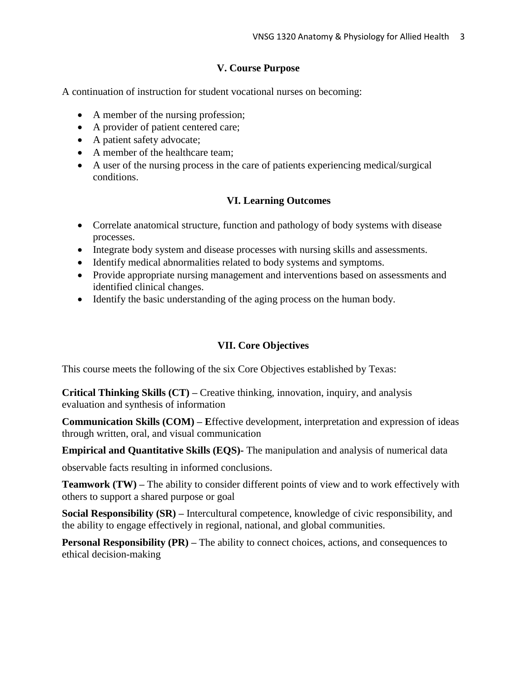# **V. Course Purpose**

A continuation of instruction for student vocational nurses on becoming:

- A member of the nursing profession;
- A provider of patient centered care;
- A patient safety advocate;
- A member of the healthcare team:
- A user of the nursing process in the care of patients experiencing medical/surgical conditions.

# **VI. Learning Outcomes**

- Correlate anatomical structure, function and pathology of body systems with disease processes.
- Integrate body system and disease processes with nursing skills and assessments.
- Identify medical abnormalities related to body systems and symptoms.
- Provide appropriate nursing management and interventions based on assessments and identified clinical changes.
- Identify the basic understanding of the aging process on the human body.

# **VII. Core Objectives**

This course meets the following of the six Core Objectives established by Texas:

**Critical Thinking Skills (CT) –** Creative thinking, innovation, inquiry, and analysis evaluation and synthesis of information

**Communication Skills (COM) – E**ffective development, interpretation and expression of ideas through written, oral, and visual communication

**Empirical and Quantitative Skills (EQS)-** The manipulation and analysis of numerical data

observable facts resulting in informed conclusions.

**Teamwork (TW) –** The ability to consider different points of view and to work effectively with others to support a shared purpose or goal

**Social Responsibility (SR) –** Intercultural competence, knowledge of civic responsibility, and the ability to engage effectively in regional, national, and global communities.

**Personal Responsibility (PR)** – The ability to connect choices, actions, and consequences to ethical decision-making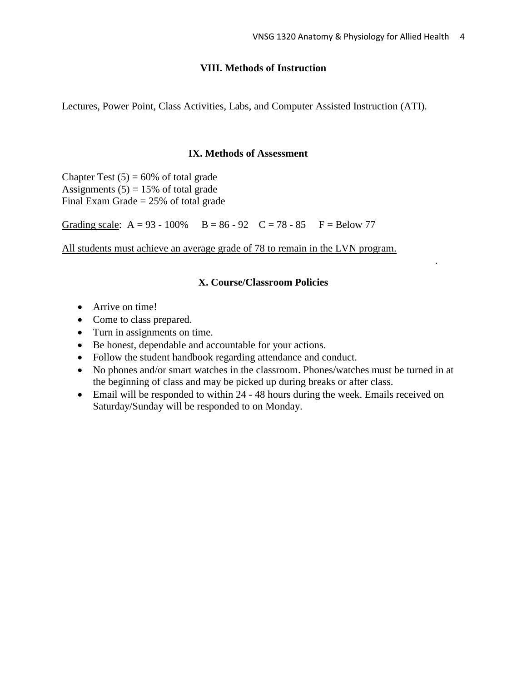.

### **VIII. Methods of Instruction**

Lectures, Power Point, Class Activities, Labs, and Computer Assisted Instruction (ATI).

#### **IX. Methods of Assessment**

Chapter Test  $(5) = 60\%$  of total grade Assignments  $(5) = 15%$  of total grade Final Exam Grade  $= 25\%$  of total grade

Grading scale:  $A = 93 - 100\%$   $B = 86 - 92$   $C = 78 - 85$   $F = Below 77$ 

All students must achieve an average grade of 78 to remain in the LVN program.

# **X. Course/Classroom Policies**

- Arrive on time!
- Come to class prepared.
- Turn in assignments on time.
- Be honest, dependable and accountable for your actions.
- Follow the student handbook regarding attendance and conduct.
- No phones and/or smart watches in the classroom. Phones/watches must be turned in at the beginning of class and may be picked up during breaks or after class.
- Email will be responded to within 24 48 hours during the week. Emails received on Saturday/Sunday will be responded to on Monday.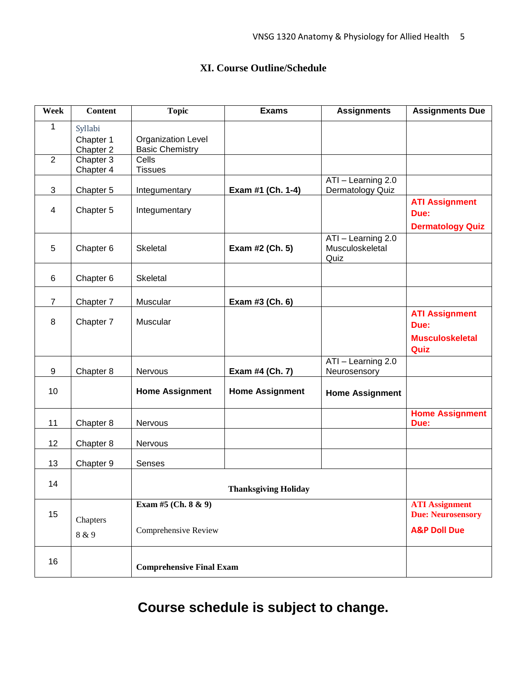# **XI. Course Outline/Schedule**

| Week           | <b>Content</b>                    | <b>Topic</b>                                 | <b>Exams</b>                | <b>Assignments</b>                            | <b>Assignments Due</b>                                          |  |
|----------------|-----------------------------------|----------------------------------------------|-----------------------------|-----------------------------------------------|-----------------------------------------------------------------|--|
| 1              | Syllabi<br>Chapter 1<br>Chapter 2 | Organization Level<br><b>Basic Chemistry</b> |                             |                                               |                                                                 |  |
| $\overline{2}$ | Chapter 3<br>Chapter 4            | Cells<br><b>Tissues</b>                      |                             |                                               |                                                                 |  |
| $\mathbf{3}$   | Chapter 5                         | Integumentary                                | Exam #1 (Ch. 1-4)           | ATI - Learning 2.0<br>Dermatology Quiz        |                                                                 |  |
| $\overline{4}$ | Chapter 5                         | Integumentary                                |                             |                                               | <b>ATI Assignment</b><br>Due:<br><b>Dermatology Quiz</b>        |  |
| 5              | Chapter 6                         | Skeletal                                     | Exam #2 (Ch. 5)             | ATI - Learning 2.0<br>Musculoskeletal<br>Quiz |                                                                 |  |
| 6              | Chapter 6                         | Skeletal                                     |                             |                                               |                                                                 |  |
| $\overline{7}$ | Chapter 7                         | Muscular                                     | Exam #3 (Ch. 6)             |                                               |                                                                 |  |
| 8              | Chapter 7                         | Muscular                                     |                             |                                               | <b>ATI Assignment</b><br>Due:<br><b>Musculoskeletal</b><br>Quiz |  |
| 9              | Chapter 8                         | Nervous                                      | Exam #4 (Ch. 7)             | ATI - Learning 2.0<br>Neurosensory            |                                                                 |  |
| 10             |                                   | <b>Home Assignment</b>                       | <b>Home Assignment</b>      | <b>Home Assignment</b>                        |                                                                 |  |
| 11             | Chapter 8                         | Nervous                                      |                             |                                               | <b>Home Assignment</b><br>Due:                                  |  |
| 12             | Chapter 8                         | Nervous                                      |                             |                                               |                                                                 |  |
| 13             | Chapter 9                         | Senses                                       |                             |                                               |                                                                 |  |
| 14             |                                   |                                              | <b>Thanksgiving Holiday</b> |                                               |                                                                 |  |
| 15             | Chapters                          | Exam #5 (Ch. 8 & 9)                          |                             |                                               | <b>ATI Assignment</b><br><b>Due: Neurosensory</b>               |  |
|                | 8 & 9                             | Comprehensive Review                         |                             |                                               | <b>A&amp;P Doll Due</b>                                         |  |
| 16             |                                   | <b>Comprehensive Final Exam</b>              |                             |                                               |                                                                 |  |

**Course schedule is subject to change.**